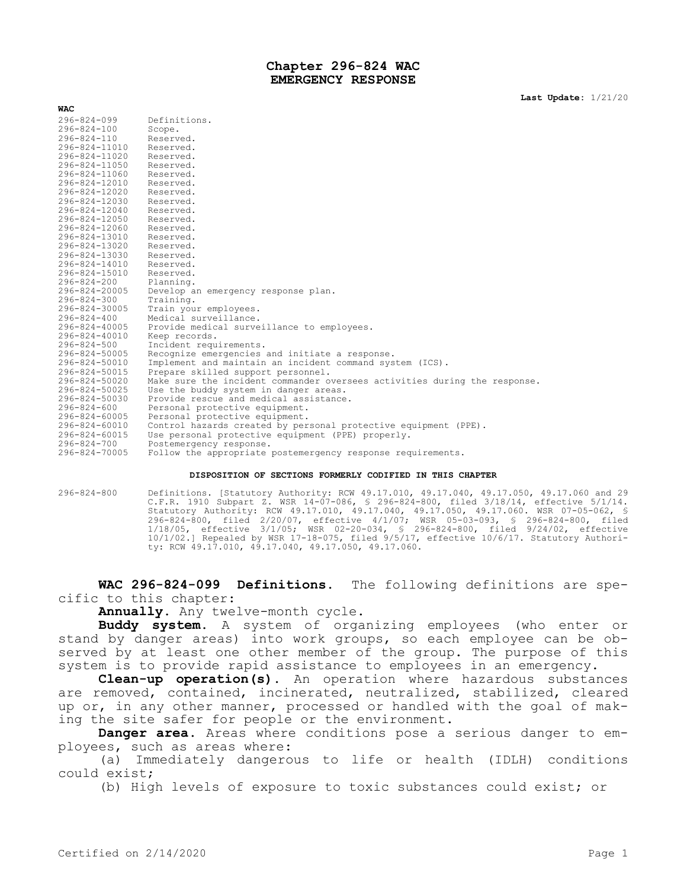## **Chapter 296-824 WAC EMERGENCY RESPONSE**

| <b>WAC</b>        |                                                                           |
|-------------------|---------------------------------------------------------------------------|
| $296 - 824 - 099$ | Definitions.                                                              |
| $296 - 824 - 100$ | Scope.                                                                    |
| $296 - 824 - 110$ | Reserved.                                                                 |
| 296-824-11010     | Reserved.                                                                 |
| 296-824-11020     | Reserved.                                                                 |
| 296-824-11050     | Reserved.                                                                 |
| 296-824-11060     | Reserved.                                                                 |
| 296-824-12010     | Reserved.                                                                 |
| 296-824-12020     | Reserved.                                                                 |
| 296-824-12030     | Reserved.                                                                 |
| 296-824-12040     | Reserved.                                                                 |
| 296-824-12050     | Reserved.                                                                 |
| 296-824-12060     | Reserved.                                                                 |
| 296-824-13010     | Reserved.                                                                 |
| 296-824-13020     | Reserved.                                                                 |
| 296-824-13030     | Reserved.                                                                 |
| 296-824-14010     | Reserved.                                                                 |
| 296-824-15010     | Reserved.                                                                 |
| $296 - 824 - 200$ | Planning.                                                                 |
| 296-824-20005     | Develop an emergency response plan.                                       |
| $296 - 824 - 300$ | Training.                                                                 |
| 296-824-30005     | Train your employees.                                                     |
| $296 - 824 - 400$ | Medical surveillance.                                                     |
| 296-824-40005     | Provide medical surveillance to employees.                                |
| 296-824-40010     | Keep records.                                                             |
| $296 - 824 - 500$ | Incident requirements.                                                    |
| 296-824-50005     | Recognize emergencies and initiate a response.                            |
| 296-824-50010     | Implement and maintain an incident command system (ICS).                  |
| 296-824-50015     | Prepare skilled support personnel.                                        |
| 296-824-50020     | Make sure the incident commander oversees activities during the response. |
| 296-824-50025     | Use the buddy system in danger areas.                                     |
| 296-824-50030     | Provide rescue and medical assistance.                                    |
| $296 - 824 - 600$ | Personal protective equipment.                                            |
| 296-824-60005     | Personal protective equipment.                                            |
| 296-824-60010     | Control hazards created by personal protective equipment (PPE).           |
| 296-824-60015     | Use personal protective equipment (PPE) properly.                         |
| $296 - 824 - 700$ | Postemergency response.                                                   |
| 296-824-70005     | Follow the appropriate postemergency response requirements.               |

#### **DISPOSITION OF SECTIONS FORMERLY CODIFIED IN THIS CHAPTER**

296-824-800 Definitions. [Statutory Authority: RCW 49.17.010, 49.17.040, 49.17.050, 49.17.060 and 29 C.F.R. 1910 Subpart Z. WSR 14-07-086, § 296-824-800, filed 3/18/14, effective 5/1/14. Statutory Authority: RCW 49.17.010, 49.17.040, 49.17.050, 49.17.060. WSR 07-05-062, § 296-824-800, filed 2/20/07, effective 4/1/07; WSR 05-03-093, § 296-824-800, filed 1/18/05, effective 3/1/05; WSR 02-20-034, § 296-824-800, filed 9/24/02, effective 10/1/02.] Repealed by WSR 17-18-075, filed 9/5/17, effective 10/6/17. Statutory Authority: RCW 49.17.010, 49.17.040, 49.17.050, 49.17.060.

**WAC 296-824-099 Definitions.** The following definitions are specific to this chapter:

**Annually.** Any twelve-month cycle.

**Buddy system.** A system of organizing employees (who enter or stand by danger areas) into work groups, so each employee can be observed by at least one other member of the group. The purpose of this system is to provide rapid assistance to employees in an emergency.

**Clean-up operation(s).** An operation where hazardous substances are removed, contained, incinerated, neutralized, stabilized, cleared up or, in any other manner, processed or handled with the goal of making the site safer for people or the environment.

**Danger area.** Areas where conditions pose a serious danger to employees, such as areas where:

(a) Immediately dangerous to life or health (IDLH) conditions could exist;

(b) High levels of exposure to toxic substances could exist; or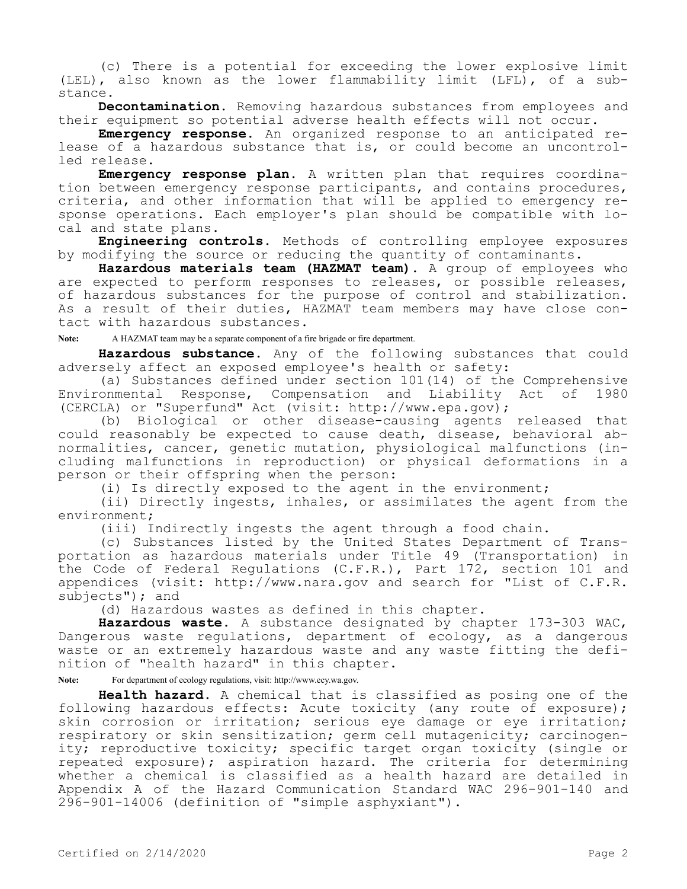(c) There is a potential for exceeding the lower explosive limit (LEL), also known as the lower flammability limit (LFL), of a substance.

**Decontamination.** Removing hazardous substances from employees and their equipment so potential adverse health effects will not occur.

**Emergency response.** An organized response to an anticipated release of a hazardous substance that is, or could become an uncontrolled release.

**Emergency response plan.** A written plan that requires coordination between emergency response participants, and contains procedures, criteria, and other information that will be applied to emergency response operations. Each employer's plan should be compatible with local and state plans.

**Engineering controls.** Methods of controlling employee exposures by modifying the source or reducing the quantity of contaminants.

**Hazardous materials team (HAZMAT team).** A group of employees who are expected to perform responses to releases, or possible releases, of hazardous substances for the purpose of control and stabilization. As a result of their duties, HAZMAT team members may have close contact with hazardous substances.

**Note:** A HAZMAT team may be a separate component of a fire brigade or fire department.

**Hazardous substance.** Any of the following substances that could adversely affect an exposed employee's health or safety:

(a) Substances defined under section 101(14) of the Comprehensive Environmental Response, Compensation and Liability Act of 1980 (CERCLA) or "Superfund" Act (visit: http://www.epa.gov);

(b) Biological or other disease-causing agents released that could reasonably be expected to cause death, disease, behavioral abnormalities, cancer, genetic mutation, physiological malfunctions (including malfunctions in reproduction) or physical deformations in a person or their offspring when the person:

(i) Is directly exposed to the agent in the environment;

(ii) Directly ingests, inhales, or assimilates the agent from the environment;

(iii) Indirectly ingests the agent through a food chain.

(c) Substances listed by the United States Department of Transportation as hazardous materials under Title 49 (Transportation) in the Code of Federal Regulations (C.F.R.), Part 172, section 101 and appendices (visit: http://www.nara.gov and search for "List of C.F.R. subjects"); and

(d) Hazardous wastes as defined in this chapter.

**Hazardous waste.** A substance designated by chapter 173-303 WAC, Dangerous waste regulations, department of ecology, as a dangerous waste or an extremely hazardous waste and any waste fitting the definition of "health hazard" in this chapter.

**Note:** For department of ecology regulations, visit: http://www.ecy.wa.gov.

**Health hazard.** A chemical that is classified as posing one of the following hazardous effects: Acute toxicity (any route of exposure); skin corrosion or irritation; serious eye damage or eye irritation; respiratory or skin sensitization; germ cell mutagenicity; carcinogenity; reproductive toxicity; specific target organ toxicity (single or repeated exposure); aspiration hazard. The criteria for determining whether a chemical is classified as a health hazard are detailed in Appendix A of the Hazard Communication Standard WAC 296-901-140 and 296-901-14006 (definition of "simple asphyxiant").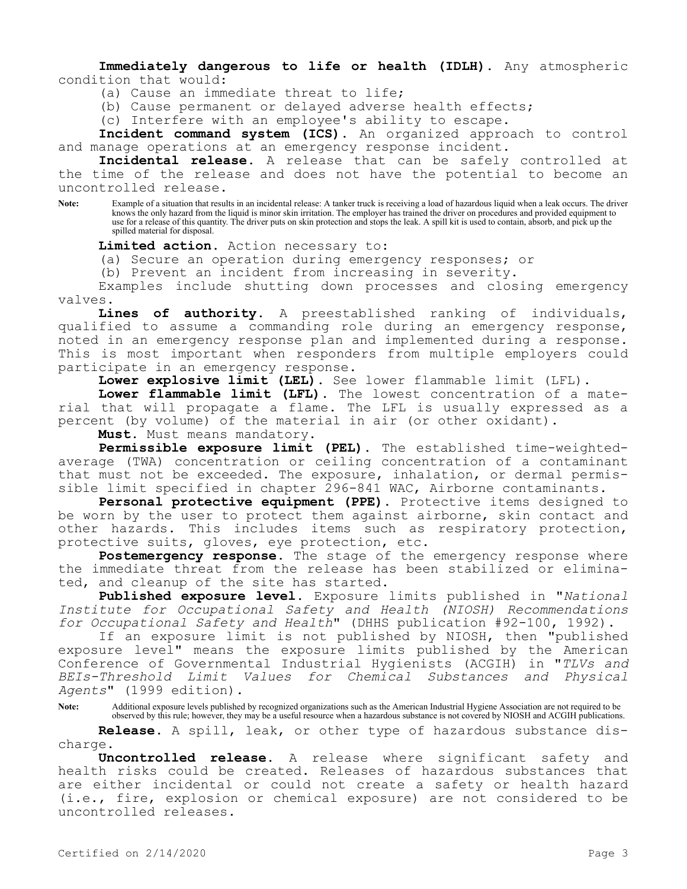**Immediately dangerous to life or health (IDLH).** Any atmospheric condition that would:

(a) Cause an immediate threat to life;

(b) Cause permanent or delayed adverse health effects;

(c) Interfere with an employee's ability to escape.

**Incident command system (ICS).** An organized approach to control and manage operations at an emergency response incident.

**Incidental release.** A release that can be safely controlled at the time of the release and does not have the potential to become an uncontrolled release.

**Note:** Example of a situation that results in an incidental release: A tanker truck is receiving a load of hazardous liquid when a leak occurs. The driver knows the only hazard from the liquid is minor skin irritation. The employer has trained the driver on procedures and provided equipment to use for a release of this quantity. The driver puts on skin protection and stops the leak. A spill kit is used to contain, absorb, and pick up the spilled material for disposal.

**Limited action.** Action necessary to:

(a) Secure an operation during emergency responses; or

(b) Prevent an incident from increasing in severity.

Examples include shutting down processes and closing emergency valves.

**Lines of authority.** A preestablished ranking of individuals, qualified to assume a commanding role during an emergency response, noted in an emergency response plan and implemented during a response. This is most important when responders from multiple employers could participate in an emergency response.

**Lower explosive limit (LEL).** See lower flammable limit (LFL).

**Lower flammable limit (LFL).** The lowest concentration of a material that will propagate a flame. The LFL is usually expressed as a percent (by volume) of the material in air (or other oxidant).

**Must.** Must means mandatory.

**Permissible exposure limit (PEL).** The established time-weightedaverage (TWA) concentration or ceiling concentration of a contaminant that must not be exceeded. The exposure, inhalation, or dermal permissible limit specified in chapter 296-841 WAC, Airborne contaminants.

**Personal protective equipment (PPE).** Protective items designed to be worn by the user to protect them against airborne, skin contact and other hazards. This includes items such as respiratory protection, protective suits, gloves, eye protection, etc.

Postemergency response. The stage of the emergency response where the immediate threat from the release has been stabilized or eliminated, and cleanup of the site has started.

**Published exposure level.** Exposure limits published in "*National Institute for Occupational Safety and Health (NIOSH) Recommendations for Occupational Safety and Health*" (DHHS publication #92-100, 1992).

If an exposure limit is not published by NIOSH, then "published exposure level" means the exposure limits published by the American Conference of Governmental Industrial Hygienists (ACGIH) in "*TLVs and BEIs-Threshold Limit Values for Chemical Substances and Physical Agents*" (1999 edition).

**Note:** Additional exposure levels published by recognized organizations such as the American Industrial Hygiene Association are not required to be observed by this rule; however, they may be a useful resource when a hazardous substance is not covered by NIOSH and ACGIH publications.

**Release.** A spill, leak, or other type of hazardous substance discharge.

**Uncontrolled release.** A release where significant safety and health risks could be created. Releases of hazardous substances that are either incidental or could not create a safety or health hazard (i.e., fire, explosion or chemical exposure) are not considered to be uncontrolled releases.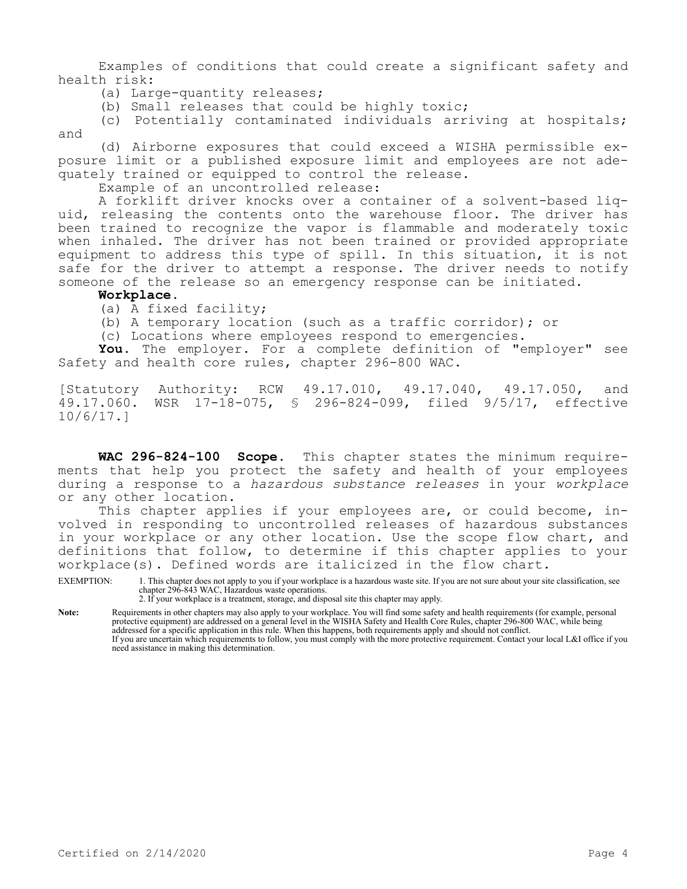Examples of conditions that could create a significant safety and health risk:

- (a) Large-quantity releases;
- (b) Small releases that could be highly toxic;

(c) Potentially contaminated individuals arriving at hospitals; and

(d) Airborne exposures that could exceed a WISHA permissible exposure limit or a published exposure limit and employees are not adequately trained or equipped to control the release.

Example of an uncontrolled release:

A forklift driver knocks over a container of a solvent-based liquid, releasing the contents onto the warehouse floor. The driver has been trained to recognize the vapor is flammable and moderately toxic when inhaled. The driver has not been trained or provided appropriate equipment to address this type of spill. In this situation, it is not safe for the driver to attempt a response. The driver needs to notify someone of the release so an emergency response can be initiated.

## **Workplace.**

(a) A fixed facility;

- (b) A temporary location (such as a traffic corridor); or
- (c) Locations where employees respond to emergencies.

**You.** The employer. For a complete definition of "employer" see Safety and health core rules, chapter 296-800 WAC.

[Statutory Authority: RCW 49.17.010, 49.17.040, 49.17.050, and<br>49.17.060. WSR 17-18-075, \$ 296-824-099, filed 9/5/17, effective WSR 17-18-075, § 296-824-099, filed 9/5/17, effective 10/6/17.]

**WAC 296-824-100 Scope.** This chapter states the minimum requirements that help you protect the safety and health of your employees during a response to a *hazardous substance releases* in your *workplace*  or any other location.

This chapter applies if your employees are, or could become, involved in responding to uncontrolled releases of hazardous substances in your workplace or any other location. Use the scope flow chart, and definitions that follow, to determine if this chapter applies to your workplace(s). Defined words are italicized in the flow chart.

EXEMPTION: 1. This chapter does not apply to you if your workplace is a hazardous waste site. If you are not sure about your site classification, see chapter 296-843 WAC, Hazardous waste operations.

2. If your workplace is a treatment, storage, and disposal site this chapter may apply.

**Note:** Requirements in other chapters may also apply to your workplace. You will find some safety and health requirements (for example, personal protective equipment) are addressed on a general level in the WISHA Safety and Health Core Rules, chapter 296-800 WAC, while being addressed for a specific application in this rule. When this happens, both requirements apply and should not conflict. If you are uncertain which requirements to follow, you must comply with the more protective requirement. Contact your local L&I office if you need assistance in making this determination.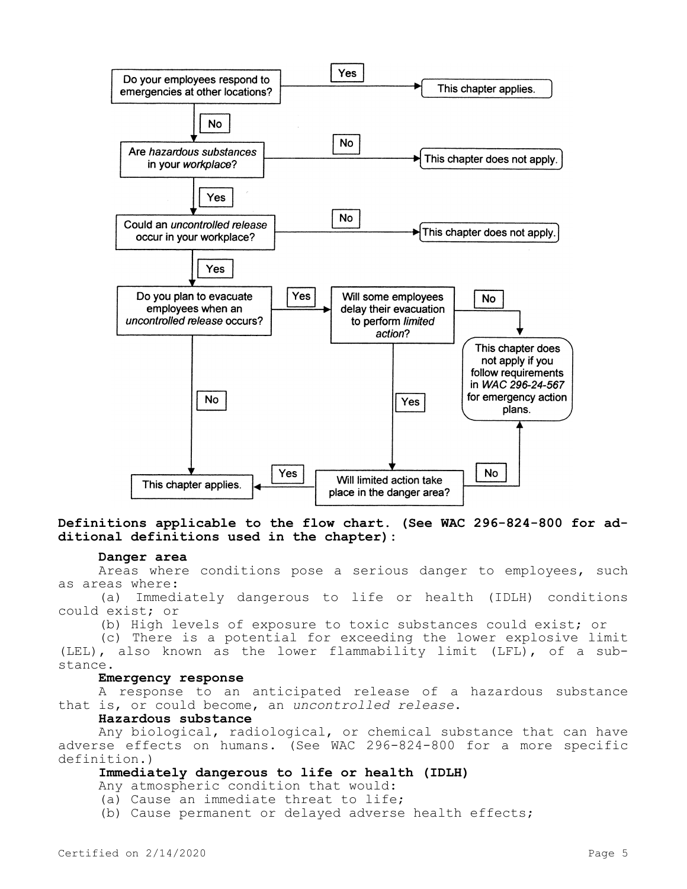

## **Definitions applicable to the flow chart. (See WAC 296-824-800 for additional definitions used in the chapter):**

### **Danger area**

Areas where conditions pose a serious danger to employees, such as areas where:

(a) Immediately dangerous to life or health (IDLH) conditions could exist; or

(b) High levels of exposure to toxic substances could exist; or

(c) There is a potential for exceeding the lower explosive limit (LEL), also known as the lower flammability limit (LFL), of a substance.

### **Emergency response**

A response to an anticipated release of a hazardous substance that is, or could become, an *uncontrolled release*.

## **Hazardous substance**

Any biological, radiological, or chemical substance that can have adverse effects on humans. (See WAC 296-824-800 for a more specific definition.)

## **Immediately dangerous to life or health (IDLH)**

Any atmospheric condition that would:

- (a) Cause an immediate threat to life;
- (b) Cause permanent or delayed adverse health effects;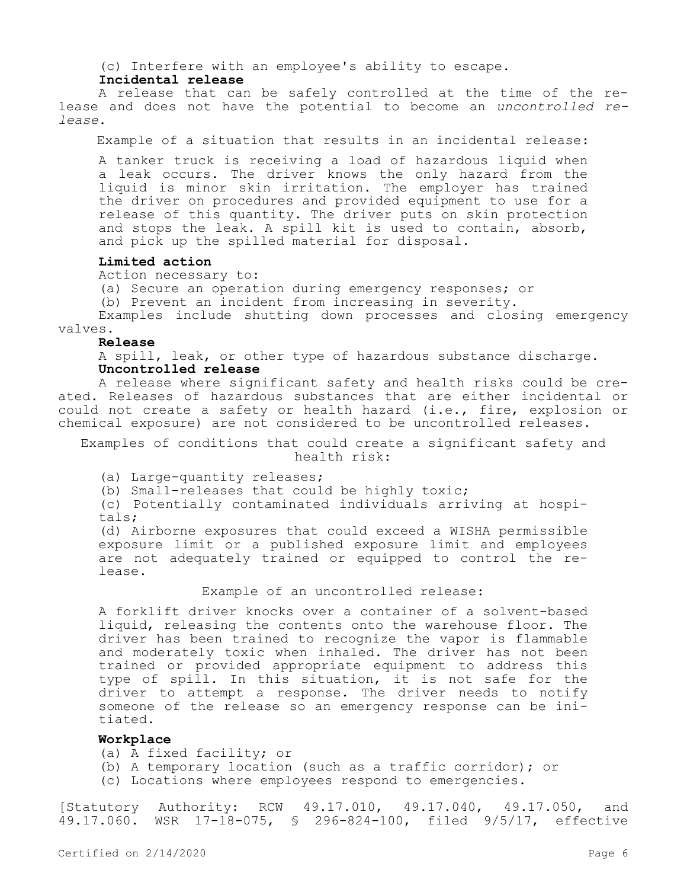(c) Interfere with an employee's ability to escape.

### **Incidental release**

A release that can be safely controlled at the time of the release and does not have the potential to become an *uncontrolled release*.

Example of a situation that results in an incidental release:

A tanker truck is receiving a load of hazardous liquid when a leak occurs. The driver knows the only hazard from the liquid is minor skin irritation. The employer has trained the driver on procedures and provided equipment to use for a release of this quantity. The driver puts on skin protection and stops the leak. A spill kit is used to contain, absorb, and pick up the spilled material for disposal.

## **Limited action**

Action necessary to:

(a) Secure an operation during emergency responses; or

(b) Prevent an incident from increasing in severity.

Examples include shutting down processes and closing emergency valves.

## **Release**

A spill, leak, or other type of hazardous substance discharge. **Uncontrolled release**

A release where significant safety and health risks could be created. Releases of hazardous substances that are either incidental or could not create a safety or health hazard (i.e., fire, explosion or chemical exposure) are not considered to be uncontrolled releases.

## Examples of conditions that could create a significant safety and health risk:

(a) Large-quantity releases;

(b) Small-releases that could be highly toxic;

(c) Potentially contaminated individuals arriving at hospitals;

(d) Airborne exposures that could exceed a WISHA permissible exposure limit or a published exposure limit and employees are not adequately trained or equipped to control the release.

### Example of an uncontrolled release:

A forklift driver knocks over a container of a solvent-based liquid, releasing the contents onto the warehouse floor. The driver has been trained to recognize the vapor is flammable and moderately toxic when inhaled. The driver has not been trained or provided appropriate equipment to address this type of spill. In this situation, it is not safe for the driver to attempt a response. The driver needs to notify someone of the release so an emergency response can be initiated.

### **Workplace**

(a) A fixed facility; or

- (b) A temporary location (such as a traffic corridor); or
- (c) Locations where employees respond to emergencies.

[Statutory Authority: RCW 49.17.010, 49.17.040, 49.17.050, and 49.17.060. WSR 17-18-075, § 296-824-100, filed 9/5/17, effective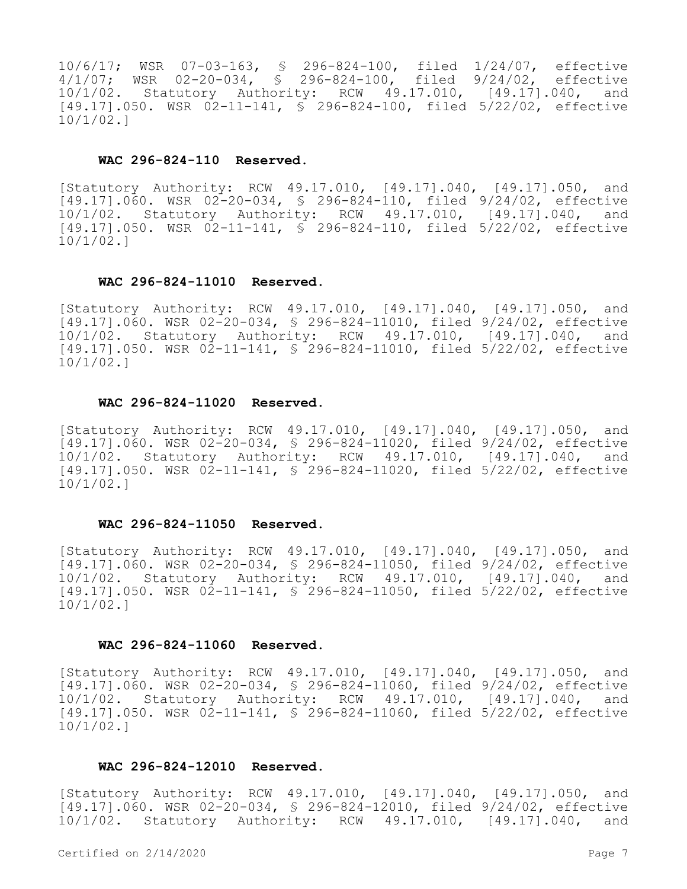10/6/17; WSR 07-03-163, § 296-824-100, filed 1/24/07, effective 4/1/07; WSR 02-20-034, § 296-824-100, filed 9/24/02, effective 10/1/02. Statutory Authority: RCW 49.17.010, [49.17].040, and [49.17].050. WSR 02-11-141, § 296-824-100, filed 5/22/02, effective 10/1/02.]

## **WAC 296-824-110 Reserved.**

[Statutory Authority: RCW 49.17.010, [49.17].040, [49.17].050, and  $[49.17] .060$ . WSR  $02-20-034$ , § 296-824-110, filed 9/24/02, effective 10/1/02. Statutory Authority: RCW 49.17.010, [49.17].040, and [49.17].050. WSR 02-11-141, § 296-824-110, filed 5/22/02, effective 10/1/02.]

#### **WAC 296-824-11010 Reserved.**

[Statutory Authority: RCW 49.17.010, [49.17].040, [49.17].050, and [49.17].060. WSR 02-20-034, § 296-824-11010, filed 9/24/02, effective 10/1/02. Statutory Authority: RCW 49.17.010, [49.17].040, and [49.17].050. WSR 02-11-141, § 296-824-11010, filed 5/22/02, effective 10/1/02.]

## **WAC 296-824-11020 Reserved.**

[Statutory Authority: RCW 49.17.010, [49.17].040, [49.17].050, and [49.17].060. WSR 02-20-034, § 296-824-11020, filed 9/24/02, effective 10/1/02. Statutory Authority: RCW 49.17.010, [49.17].040, and [49.17].050. WSR 02-11-141, § 296-824-11020, filed 5/22/02, effective 10/1/02.]

#### **WAC 296-824-11050 Reserved.**

[Statutory Authority: RCW 49.17.010, [49.17].040, [49.17].050, and [49.17].060. WSR 02-20-034, § 296-824-11050, filed 9/24/02, effective 10/1/02. Statutory Authority: RCW 49.17.010, [49.17].040, and  $[49.17]$ .050. WSR 02-11-141, § 296-824-11050, filed 5/22/02, effective 10/1/02.]

## **WAC 296-824-11060 Reserved.**

[Statutory Authority: RCW 49.17.010, [49.17].040, [49.17].050, and [49.17].060. WSR 02-20-034, § 296-824-11060, filed 9/24/02, effective 10/1/02. Statutory Authority: RCW 49.17.010, [49.17].040, and [49.17].050. WSR 02-11-141, § 296-824-11060, filed 5/22/02, effective 10/1/02.]

### **WAC 296-824-12010 Reserved.**

[Statutory Authority: RCW 49.17.010, [49.17].040, [49.17].050, and [49.17].060. WSR 02-20-034, § 296-824-12010, filed 9/24/02, effective 10/1/02. Statutory Authority: RCW 49.17.010, [49.17].040, and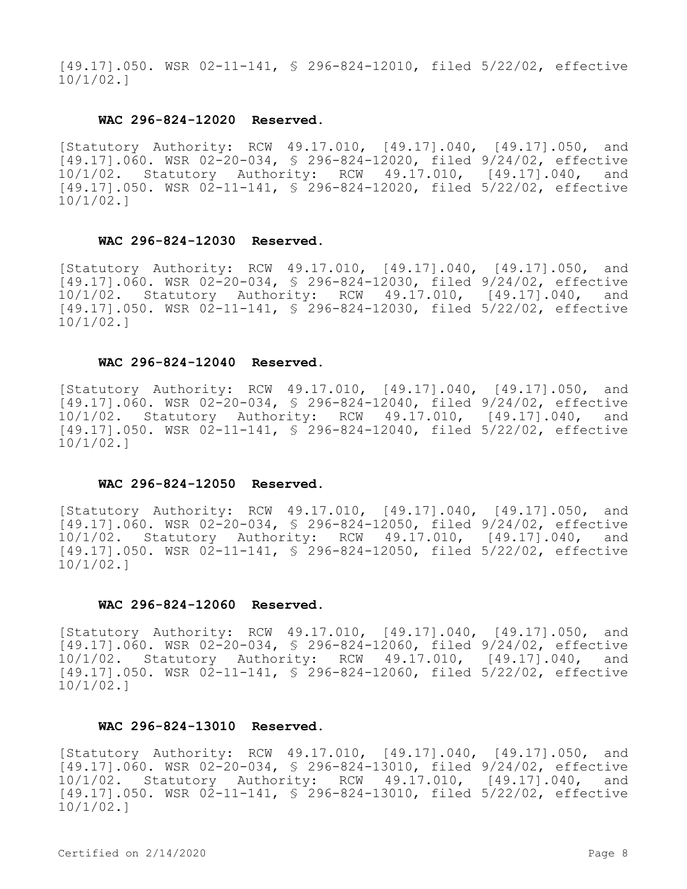[49.17].050. WSR 02-11-141, § 296-824-12010, filed 5/22/02, effective 10/1/02.]

#### **WAC 296-824-12020 Reserved.**

[Statutory Authority: RCW 49.17.010, [49.17].040, [49.17].050, and [49.17].060. WSR 02-20-034, § 296-824-12020, filed 9/24/02, effective 10/1/02. Statutory Authority: RCW 49.17.010, [49.17].040, and [49.17].050. WSR 02-11-141, § 296-824-12020, filed 5/22/02, effective 10/1/02.]

## **WAC 296-824-12030 Reserved.**

[Statutory Authority: RCW 49.17.010, [49.17].040, [49.17].050, and [49.17].060. WSR 02-20-034, § 296-824-12030, filed 9/24/02, effective 10/1/02. Statutory Authority: RCW 49.17.010, [49.17].040, and [49.17].050. WSR 02-11-141, § 296-824-12030, filed 5/22/02, effective 10/1/02.]

#### **WAC 296-824-12040 Reserved.**

[Statutory Authority: RCW 49.17.010, [49.17].040, [49.17].050, and [49.17].060. WSR 02-20-034, § 296-824-12040, filed 9/24/02, effective 10/1/02. Statutory Authority: RCW 49.17.010, [49.17].040, and [49.17].050. WSR 02-11-141, § 296-824-12040, filed 5/22/02, effective 10/1/02.]

#### **WAC 296-824-12050 Reserved.**

[Statutory Authority: RCW 49.17.010, [49.17].040, [49.17].050, and [49.17].060. WSR 02-20-034, § 296-824-12050, filed 9/24/02, effective 10/1/02. Statutory Authority: RCW 49.17.010, [49.17].040, and [49.17].050. WSR 02-11-141, § 296-824-12050, filed 5/22/02, effective 10/1/02.]

### **WAC 296-824-12060 Reserved.**

[Statutory Authority: RCW 49.17.010, [49.17].040, [49.17].050, and [49.17].060. WSR 02-20-034, § 296-824-12060, filed 9/24/02, effective 10/1/02. Statutory Authority: RCW 49.17.010, [49.17].040, and [49.17].050. WSR 02-11-141, § 296-824-12060, filed 5/22/02, effective 10/1/02.]

### **WAC 296-824-13010 Reserved.**

[Statutory Authority: RCW 49.17.010, [49.17].040, [49.17].050, and [49.17].060. WSR 02-20-034, § 296-824-13010, filed 9/24/02, effective 10/1/02. Statutory Authority: RCW 49.17.010, [49.17].040, and [49.17].050. WSR 02-11-141, § 296-824-13010, filed 5/22/02, effective 10/1/02.]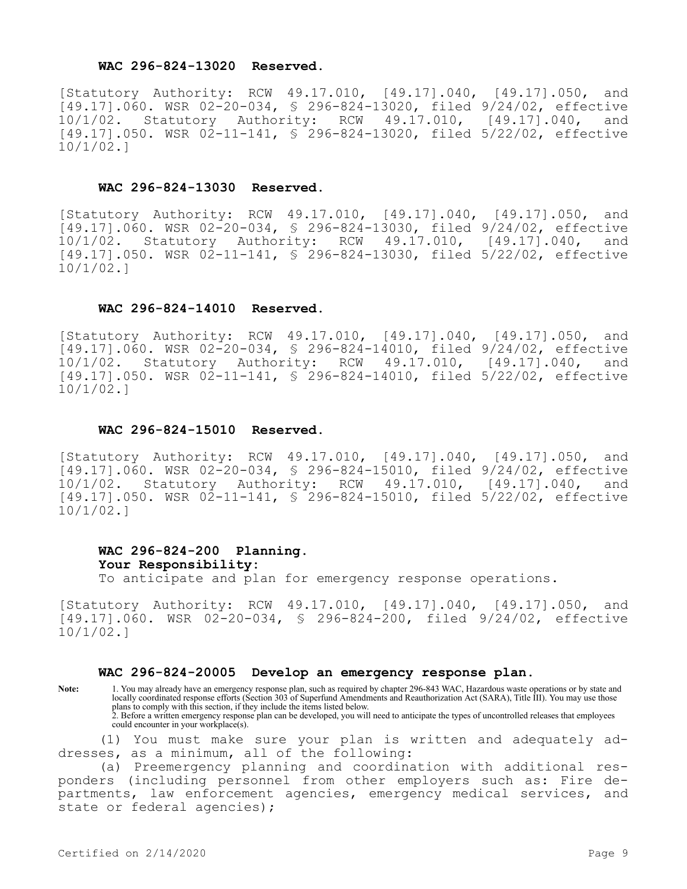## **WAC 296-824-13020 Reserved.**

[Statutory Authority: RCW 49.17.010, [49.17].040, [49.17].050, and [9000000001]<br>[49.17].060. WSR 02-20-034, § 296-824-13020, filed 9/24/02, effective<br>10/1/02. Statutory Authority: RCW 49.17.010, [49.17].040, and 10/1/02. Statutory Authority: RCW 49.17.010, [49.17].040, and [49.17].050. WSR 02-11-141, § 296-824-13020, filed 5/22/02, effective 10/1/02.]

#### **WAC 296-824-13030 Reserved.**

[Statutory Authority: RCW 49.17.010, [49.17].040, [49.17].050, and [49.17].060. WSR 02-20-034, § 296-824-13030, filed 9/24/02, effective<br>10/1/02. Statutory Authority: RCW 49.17.010, [49.17].040, and 10/1/02. Statutory Authority: RCW 49.17.010, [49.17].040, and [49.17].050. WSR 02-11-141, § 296-824-13030, filed 5/22/02, effective 10/1/02.]

#### **WAC 296-824-14010 Reserved.**

[Statutory Authority: RCW 49.17.010, [49.17].040, [49.17].050, and [49.17].060. WSR 02-20-034, § 296-824-14010, filed 9/24/02, effective 10/1/02. Statutory Authority: RCW 49.17.010, [49.17].040, and [49.17].050. WSR 02-11-141, § 296-824-14010, filed 5/22/02, effective 10/1/02.]

#### **WAC 296-824-15010 Reserved.**

[Statutory Authority: RCW 49.17.010, [49.17].040, [49.17].050, and [49.17].060. WSR 02-20-034, § 296-824-15010, filed 9/24/02, effective<br>10/1/02. Statutory Authority: RCW 49.17.010, [49.17].040, and 10/1/02. Statutory Authority: RCW 49.17.010, [49.17].040, and [49.17].050. WSR 02-11-141, § 296-824-15010, filed 5/22/02, effective 10/1/02.]

## **WAC 296-824-200 Planning. Your Responsibility:** To anticipate and plan for emergency response operations.

[Statutory Authority: RCW 49.17.010, [49.17].040, [49.17].050, and [49.17].060. WSR 02-20-034, § 296-824-200, filed 9/24/02, effective 10/1/02.]

#### **WAC 296-824-20005 Develop an emergency response plan.**

**Note:** 1. You may already have an emergency response plan, such as required by chapter 296-843 WAC, Hazardous waste operations or by state and locally coordinated response efforts (Section 303 of Superfund Amendments and Reauthorization Act (SARA), Title III). You may use those plans to comply with this section, if they include the items listed below. 2. Before a written emergency response plan can be developed, you will need to anticipate the types of uncontrolled releases that employees could encounter in your workplace(s).

(1) You must make sure your plan is written and adequately addresses, as a minimum, all of the following:

(a) Preemergency planning and coordination with additional responders (including personnel from other employers such as: Fire departments, law enforcement agencies, emergency medical services, and state or federal agencies);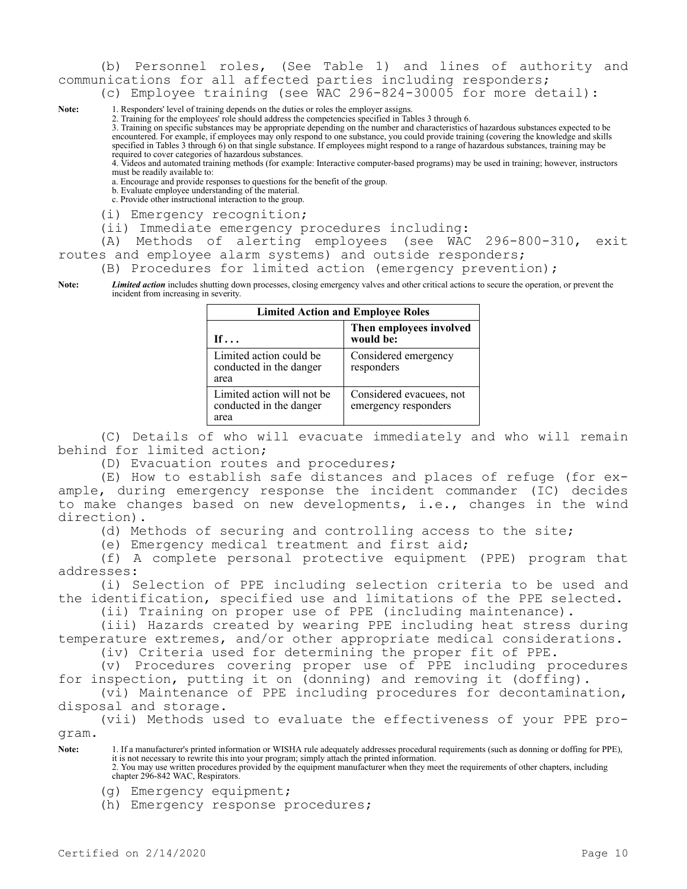(b) Personnel roles, (See Table 1) and lines of authority and communications for all affected parties including responders;

(c) Employee training (see WAC 296-824-30005 for more detail):

Note: 1. Responders' level of training depends on the duties or roles the employer assigns.

2. Training for the employees' role should address the competencies specified in Tables 3 through 6.

3. Training on specific substances may be appropriate depending on the number and characteristics of hazardous substances expected to be encountered. For example, if employees may only respond to one substance, you could provide training (covering the knowledge and skills specified in Tables 3 through 6) on that single substance. If employees might respond to a range of hazardous substances, training may be required to cover categories of hazardous substances.

4. Videos and automated training methods (for example: Interactive computer-based programs) may be used in training; however, instructors must be readily available to:

a. Encourage and provide responses to questions for the benefit of the group.

b. Evaluate employee understanding of the material. c. Provide other instructional interaction to the group.

(i) Emergency recognition;

(ii) Immediate emergency procedures including:

(A) Methods of alerting employees (see WAC 296-800-310, exit

routes and employee alarm systems) and outside responders;

(B) Procedures for limited action (emergency prevention);

**Note:** *Limited action* includes shutting down processes, closing emergency valves and other critical actions to secure the operation, or prevent the incident from increasing in severity.

| <b>Limited Action and Employee Roles</b>                      |                                                  |  |
|---------------------------------------------------------------|--------------------------------------------------|--|
| If $\ldots$                                                   | Then employees involved<br>would be:             |  |
| Limited action could be<br>conducted in the danger<br>area    | Considered emergency<br>responders               |  |
| Limited action will not be<br>conducted in the danger<br>area | Considered evacuees, not<br>emergency responders |  |

(C) Details of who will evacuate immediately and who will remain behind for limited action;

(D) Evacuation routes and procedures;

(E) How to establish safe distances and places of refuge (for example, during emergency response the incident commander (IC) decides to make changes based on new developments, i.e., changes in the wind direction).

(d) Methods of securing and controlling access to the site;

(e) Emergency medical treatment and first aid;

(f) A complete personal protective equipment (PPE) program that addresses:

(i) Selection of PPE including selection criteria to be used and the identification, specified use and limitations of the PPE selected.

(ii) Training on proper use of PPE (including maintenance).

(iii) Hazards created by wearing PPE including heat stress during temperature extremes, and/or other appropriate medical considerations.

(iv) Criteria used for determining the proper fit of PPE.

(v) Procedures covering proper use of PPE including procedures for inspection, putting it on (donning) and removing it (doffing).

(vi) Maintenance of PPE including procedures for decontamination, disposal and storage.

(vii) Methods used to evaluate the effectiveness of your PPE program.

**Note:** 1. If a manufacturer's printed information or WISHA rule adequately addresses procedural requirements (such as donning or doffing for PPE), it is not necessary to rewrite this into your program; simply attach the printed information.

2. You may use written procedures provided by the equipment manufacturer when they meet the requirements of other chapters, including chapter 296-842 WAC, Respirators.

(g) Emergency equipment;

(h) Emergency response procedures;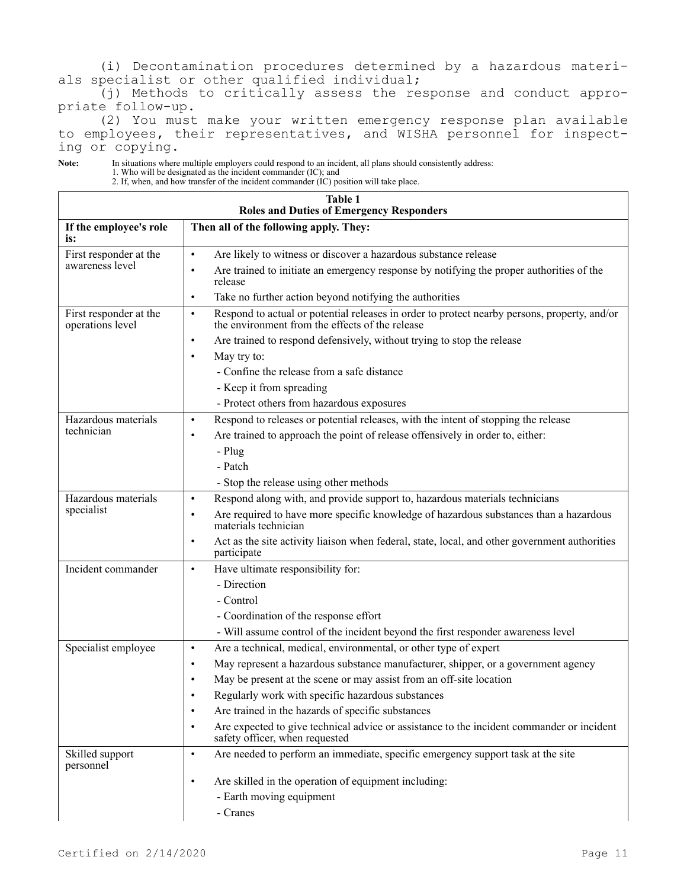(i) Decontamination procedures determined by a hazardous materials specialist or other qualified individual;

(j) Methods to critically assess the response and conduct appropriate follow-up.

(2) You must make your written emergency response plan available to employees, their representatives, and WISHA personnel for inspecting or copying.

**Note:** In situations where multiple employers could respond to an incident, all plans should consistently address:

1. Who will be designated as the incident commander (IC); and 2. If, when, and how transfer of the incident commander (IC) position will take place.

| <b>Table 1</b><br><b>Roles and Duties of Emergency Responders</b> |                                                                                                                                                              |  |
|-------------------------------------------------------------------|--------------------------------------------------------------------------------------------------------------------------------------------------------------|--|
| If the employee's role<br>is:                                     | Then all of the following apply. They:                                                                                                                       |  |
| First responder at the                                            | Are likely to witness or discover a hazardous substance release<br>$\bullet$                                                                                 |  |
| awareness level                                                   | Are trained to initiate an emergency response by notifying the proper authorities of the<br>$\bullet$<br>release                                             |  |
|                                                                   | Take no further action beyond notifying the authorities<br>$\bullet$                                                                                         |  |
| First responder at the<br>operations level                        | Respond to actual or potential releases in order to protect nearby persons, property, and/or<br>$\bullet$<br>the environment from the effects of the release |  |
|                                                                   | Are trained to respond defensively, without trying to stop the release<br>$\bullet$                                                                          |  |
|                                                                   | May try to:<br>$\bullet$                                                                                                                                     |  |
|                                                                   | - Confine the release from a safe distance                                                                                                                   |  |
|                                                                   | - Keep it from spreading                                                                                                                                     |  |
|                                                                   | - Protect others from hazardous exposures                                                                                                                    |  |
| Hazardous materials                                               | Respond to releases or potential releases, with the intent of stopping the release<br>$\bullet$                                                              |  |
| technician                                                        | Are trained to approach the point of release offensively in order to, either:<br>$\bullet$                                                                   |  |
|                                                                   | - Plug                                                                                                                                                       |  |
|                                                                   | - Patch                                                                                                                                                      |  |
|                                                                   | - Stop the release using other methods                                                                                                                       |  |
| Hazardous materials                                               | Respond along with, and provide support to, hazardous materials technicians<br>$\bullet$                                                                     |  |
| specialist                                                        | Are required to have more specific knowledge of hazardous substances than a hazardous<br>$\bullet$<br>materials technician                                   |  |
|                                                                   | Act as the site activity liaison when federal, state, local, and other government authorities<br>$\bullet$<br>participate                                    |  |
| Incident commander                                                | Have ultimate responsibility for:<br>$\bullet$                                                                                                               |  |
|                                                                   | - Direction                                                                                                                                                  |  |
|                                                                   | - Control                                                                                                                                                    |  |
|                                                                   | - Coordination of the response effort                                                                                                                        |  |
|                                                                   | - Will assume control of the incident beyond the first responder awareness level                                                                             |  |
| Specialist employee                                               | Are a technical, medical, environmental, or other type of expert<br>$\bullet$                                                                                |  |
|                                                                   | May represent a hazardous substance manufacturer, shipper, or a government agency<br>٠                                                                       |  |
|                                                                   | May be present at the scene or may assist from an off-site location                                                                                          |  |
|                                                                   | Regularly work with specific hazardous substances                                                                                                            |  |
|                                                                   | Are trained in the hazards of specific substances<br>$\bullet$                                                                                               |  |
|                                                                   | Are expected to give technical advice or assistance to the incident commander or incident<br>$\bullet$<br>safety officer, when requested                     |  |
| Skilled support<br>personnel                                      | Are needed to perform an immediate, specific emergency support task at the site<br>$\bullet$                                                                 |  |
|                                                                   | Are skilled in the operation of equipment including:<br>$\bullet$                                                                                            |  |
|                                                                   | - Earth moving equipment                                                                                                                                     |  |
|                                                                   | - Cranes                                                                                                                                                     |  |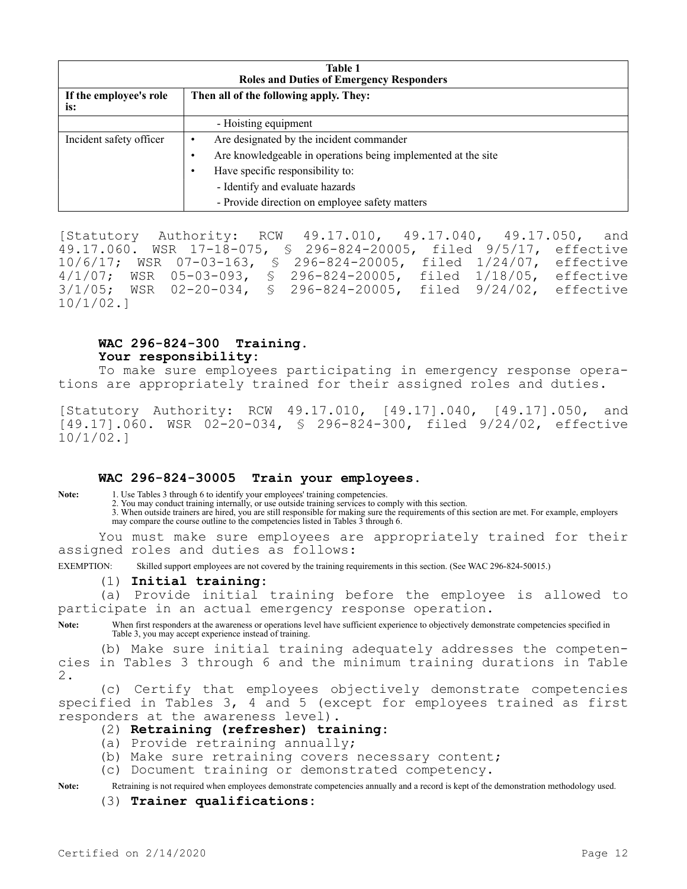| Table 1<br><b>Roles and Duties of Emergency Responders</b> |                                                               |  |
|------------------------------------------------------------|---------------------------------------------------------------|--|
| If the employee's role<br>is:                              | Then all of the following apply. They:                        |  |
|                                                            | - Hoisting equipment                                          |  |
| Incident safety officer                                    | Are designated by the incident commander                      |  |
|                                                            | Are knowledgeable in operations being implemented at the site |  |
|                                                            | Have specific responsibility to:                              |  |
|                                                            | - Identify and evaluate hazards                               |  |
|                                                            | - Provide direction on employee safety matters                |  |

[Statutory Authority: RCW 49.17.010, 49.17.040, 49.17.050, and 49.17.060. WSR 17-18-075, § 296-824-20005, filed 9/5/17, effective 10/6/17; WSR 07-03-163, § 296-824-20005, filed 1/24/07, effective 4/1/07; WSR 05-03-093, § 296-824-20005, filed 1/18/05, effective 3/1/05; WSR 02-20-034, § 296-824-20005, filed 9/24/02, effective 10/1/02.]

# **WAC 296-824-300 Training. Your responsibility:**

To make sure employees participating in emergency response operations are appropriately trained for their assigned roles and duties.

[Statutory Authority: RCW 49.17.010, [49.17].040, [49.17].050, and [49.17].060. WSR 02-20-034, § 296-824-300, filed 9/24/02, effective 10/1/02.]

## **WAC 296-824-30005 Train your employees.**

Note: 1. Use Tables 3 through 6 to identify your employees' training competencies.

2. You may conduct training internally, or use outside training services to comply with this section. 3. When outside trainers are hired, you are still responsible for making sure the requirements of this section are met. For example, employers may compare the course outline to the competencies listed in Tables  $\tilde{3}$  through 6.

You must make sure employees are appropriately trained for their assigned roles and duties as follows:

EXEMPTION: Skilled support employees are not covered by the training requirements in this section. (See WAC 296-824-50015.)

### (1) **Initial training:**

(a) Provide initial training before the employee is allowed to participate in an actual emergency response operation.

Note: When first responders at the awareness or operations level have sufficient experience to objectively demonstrate competencies specified in Table 3, you may accept experience instead of training.

(b) Make sure initial training adequately addresses the competencies in Tables 3 through 6 and the minimum training durations in Table 2.

(c) Certify that employees objectively demonstrate competencies specified in Tables 3, 4 and 5 (except for employees trained as first responders at the awareness level).

### (2) **Retraining (refresher) training:**

- (a) Provide retraining annually;
- (b) Make sure retraining covers necessary content;
- (c) Document training or demonstrated competency.

**Note:** Retraining is not required when employees demonstrate competencies annually and a record is kept of the demonstration methodology used.

### (3) **Trainer qualifications:**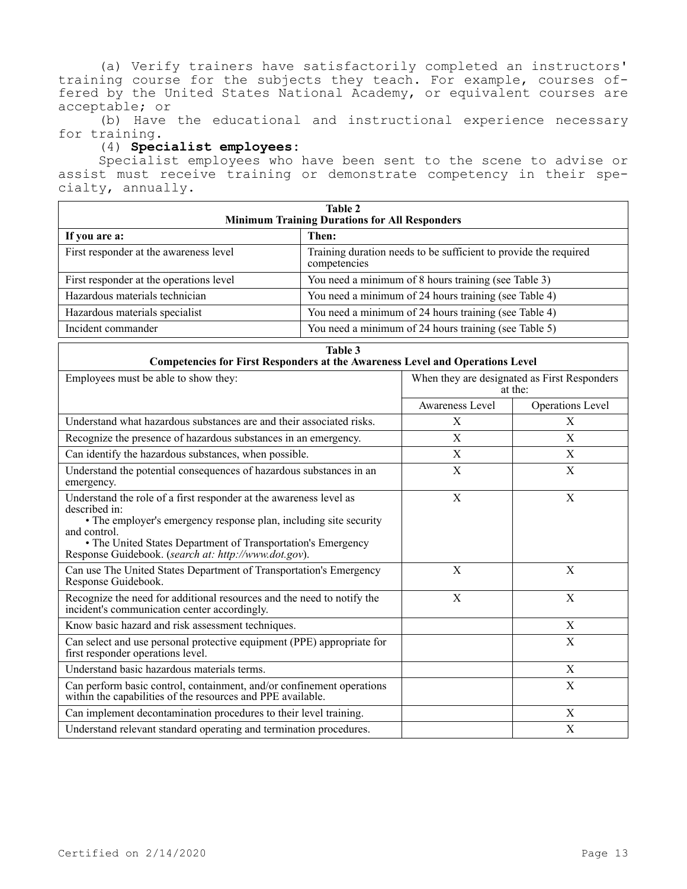(a) Verify trainers have satisfactorily completed an instructors' training course for the subjects they teach. For example, courses offered by the United States National Academy, or equivalent courses are acceptable; or

(b) Have the educational and instructional experience necessary for training.

## (4) **Specialist employees:**

Specialist employees who have been sent to the scene to advise or assist must receive training or demonstrate competency in their specialty, annually.

| Table 2<br><b>Minimum Training Durations for All Responders</b> |                                                                                  |  |
|-----------------------------------------------------------------|----------------------------------------------------------------------------------|--|
| If you are a:                                                   | Then:                                                                            |  |
| First responder at the awareness level                          | Training duration needs to be sufficient to provide the required<br>competencies |  |
| First responder at the operations level                         | You need a minimum of 8 hours training (see Table 3)                             |  |
| Hazardous materials technician                                  | You need a minimum of 24 hours training (see Table 4)                            |  |
| Hazardous materials specialist                                  | You need a minimum of 24 hours training (see Table 4)                            |  |
| Incident commander                                              | You need a minimum of 24 hours training (see Table 5)                            |  |

| Table 3<br><b>Competencies for First Responders at the Awareness Level and Operations Level</b>                                                                                                                                                                                                  |                 |                                                         |  |
|--------------------------------------------------------------------------------------------------------------------------------------------------------------------------------------------------------------------------------------------------------------------------------------------------|-----------------|---------------------------------------------------------|--|
| Employees must be able to show they:                                                                                                                                                                                                                                                             |                 | When they are designated as First Responders<br>at the: |  |
|                                                                                                                                                                                                                                                                                                  | Awareness Level | Operations Level                                        |  |
| Understand what hazardous substances are and their associated risks.                                                                                                                                                                                                                             | X               | X                                                       |  |
| Recognize the presence of hazardous substances in an emergency.                                                                                                                                                                                                                                  | X               | X                                                       |  |
| Can identify the hazardous substances, when possible.                                                                                                                                                                                                                                            | X               | X                                                       |  |
| Understand the potential consequences of hazardous substances in an<br>emergency.                                                                                                                                                                                                                | $\mathbf X$     | $\mathbf X$                                             |  |
| Understand the role of a first responder at the awareness level as<br>described in:<br>• The employer's emergency response plan, including site security<br>and control.<br>• The United States Department of Transportation's Emergency<br>Response Guidebook. (search at: http://www.dot.gov). | X               | X                                                       |  |
| Can use The United States Department of Transportation's Emergency<br>Response Guidebook.                                                                                                                                                                                                        | X               | X                                                       |  |
| Recognize the need for additional resources and the need to notify the<br>incident's communication center accordingly.                                                                                                                                                                           | X               | X                                                       |  |
| Know basic hazard and risk assessment techniques.                                                                                                                                                                                                                                                |                 | X                                                       |  |
| Can select and use personal protective equipment (PPE) appropriate for<br>first responder operations level.                                                                                                                                                                                      |                 | X                                                       |  |
| Understand basic hazardous materials terms.                                                                                                                                                                                                                                                      |                 | X                                                       |  |
| Can perform basic control, containment, and/or confinement operations<br>within the capabilities of the resources and PPE available.                                                                                                                                                             |                 | X                                                       |  |
| Can implement decontamination procedures to their level training.                                                                                                                                                                                                                                |                 | X                                                       |  |
| Understand relevant standard operating and termination procedures.                                                                                                                                                                                                                               |                 | $\mathbf X$                                             |  |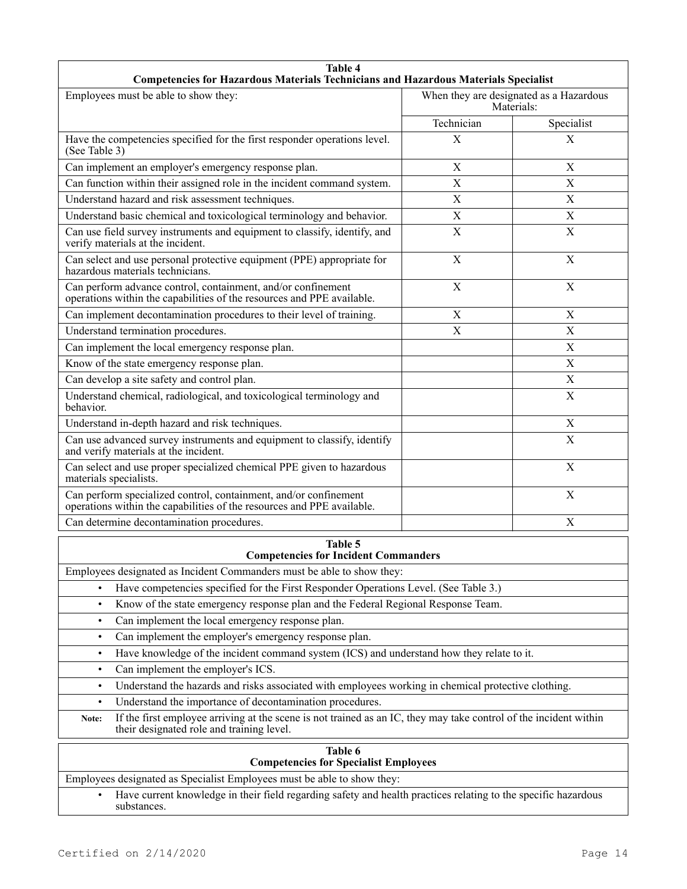| <b>Table 4</b><br>Competencies for Hazardous Materials Technicians and Hazardous Materials Specialist                                                                   |             |                                                       |
|-------------------------------------------------------------------------------------------------------------------------------------------------------------------------|-------------|-------------------------------------------------------|
| Employees must be able to show they:                                                                                                                                    |             | When they are designated as a Hazardous<br>Materials: |
|                                                                                                                                                                         | Technician  | Specialist                                            |
| Have the competencies specified for the first responder operations level.<br>(See Table 3)                                                                              | X           | X                                                     |
| Can implement an employer's emergency response plan.                                                                                                                    | $\mathbf X$ | $\boldsymbol{\mathrm{X}}$                             |
| Can function within their assigned role in the incident command system.                                                                                                 | X           | X                                                     |
| Understand hazard and risk assessment techniques.                                                                                                                       | X           | $\boldsymbol{\mathrm{X}}$                             |
| Understand basic chemical and toxicological terminology and behavior.                                                                                                   | $\mathbf X$ | X                                                     |
| Can use field survey instruments and equipment to classify, identify, and<br>verify materials at the incident.                                                          | $\mathbf X$ | X                                                     |
| Can select and use personal protective equipment (PPE) appropriate for<br>hazardous materials technicians.                                                              | X           | X                                                     |
| Can perform advance control, containment, and/or confinement<br>operations within the capabilities of the resources and PPE available.                                  | $\mathbf X$ | $\mathbf X$                                           |
| Can implement decontamination procedures to their level of training.                                                                                                    | $\mathbf X$ | $\boldsymbol{\mathrm{X}}$                             |
| Understand termination procedures.                                                                                                                                      | X           | X                                                     |
| Can implement the local emergency response plan.                                                                                                                        |             | X                                                     |
| Know of the state emergency response plan.                                                                                                                              |             | $\boldsymbol{\mathrm{X}}$                             |
| Can develop a site safety and control plan.                                                                                                                             |             | X                                                     |
| Understand chemical, radiological, and toxicological terminology and<br>behavior.                                                                                       |             | $\mathbf X$                                           |
| Understand in-depth hazard and risk techniques.                                                                                                                         |             | $\boldsymbol{\mathrm{X}}$                             |
| Can use advanced survey instruments and equipment to classify, identify<br>and verify materials at the incident.                                                        |             | X                                                     |
| Can select and use proper specialized chemical PPE given to hazardous<br>materials specialists.                                                                         |             | X                                                     |
| Can perform specialized control, containment, and/or confinement<br>operations within the capabilities of the resources and PPE available.                              |             | X                                                     |
| Can determine decontamination procedures.<br>X                                                                                                                          |             |                                                       |
| Table 5<br><b>Competencies for Incident Commanders</b>                                                                                                                  |             |                                                       |
| Employees designated as Incident Commanders must be able to show they:                                                                                                  |             |                                                       |
| Have competencies specified for the First Responder Operations Level. (See Table 3.)<br>$\bullet$                                                                       |             |                                                       |
| Know of the state emergency response plan and the Federal Regional Response Team.<br>$\bullet$                                                                          |             |                                                       |
| Can implement the local emergency response plan.<br>$\bullet$                                                                                                           |             |                                                       |
| Can implement the employer's emergency response plan.<br>$\bullet$                                                                                                      |             |                                                       |
| Have knowledge of the incident command system (ICS) and understand how they relate to it.<br>$\bullet$                                                                  |             |                                                       |
| Can implement the employer's ICS.<br>$\bullet$                                                                                                                          |             |                                                       |
| Understand the hazards and risks associated with employees working in chemical protective clothing.<br>$\bullet$                                                        |             |                                                       |
| Understand the importance of decontamination procedures.<br>$\bullet$                                                                                                   |             |                                                       |
| If the first employee arriving at the scene is not trained as an IC, they may take control of the incident within<br>Note:<br>their designated role and training level. |             |                                                       |
| Table 6<br><b>Competencies for Specialist Employees</b>                                                                                                                 |             |                                                       |
| Employees designated as Specialist Employees must be able to show they:                                                                                                 |             |                                                       |
| Have current knowledge in their field regarding safety and health practices relating to the specific hazardous<br>substances.                                           |             |                                                       |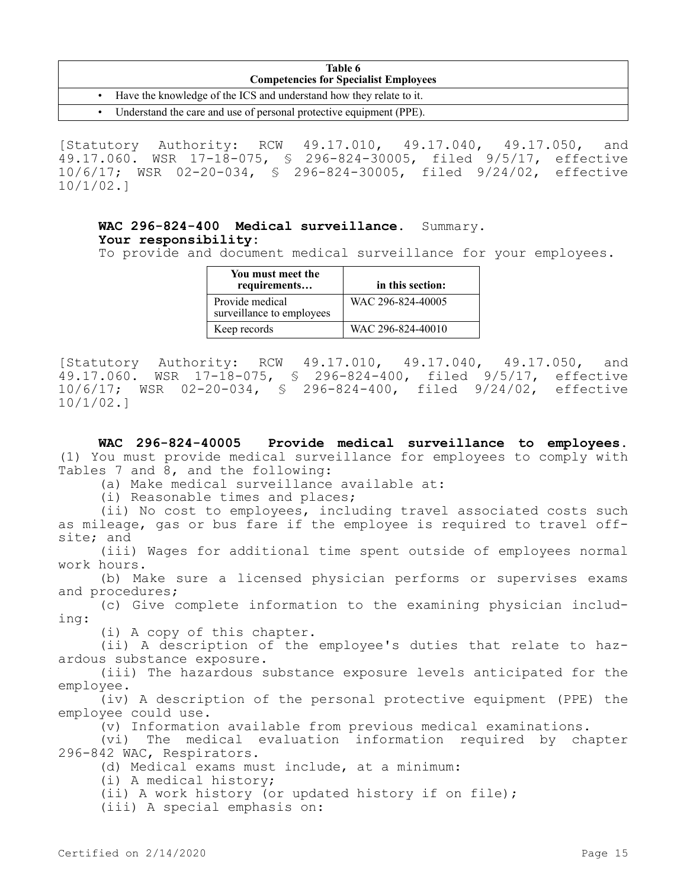| Table 6<br><b>Competencies for Specialist Employees</b> |                                                                       |  |
|---------------------------------------------------------|-----------------------------------------------------------------------|--|
|                                                         | Have the knowledge of the ICS and understand how they relate to it.   |  |
|                                                         | • Understand the care and use of personal protective equipment (PPE). |  |

[Statutory Authority: RCW 49.17.010, 49.17.040, 49.17.050, and 49.17.060. WSR 17-18-075, § 296-824-30005, filed 9/5/17, effective 10/6/17; WSR 02-20-034, § 296-824-30005, filed 9/24/02, effective 10/1/02.]

# **WAC 296-824-400 Medical surveillance.** Summary. **Your responsibility:**

To provide and document medical surveillance for your employees.

| You must meet the<br>requirements            | in this section:  |
|----------------------------------------------|-------------------|
| Provide medical<br>surveillance to employees | WAC 296-824-40005 |
| Keep records                                 | WAC 296-824-40010 |

[Statutory Authority: RCW 49.17.010, 49.17.040, 49.17.050, and 49.17.060. WSR 17-18-075, § 296-824-400, filed 9/5/17, effective 10/6/17; WSR 02-20-034, § 296-824-400, filed 9/24/02, effective 10/1/02.]

**WAC 296-824-40005 Provide medical surveillance to employees.**  (1) You must provide medical surveillance for employees to comply with Tables 7 and 8, and the following:

(a) Make medical surveillance available at:

(i) Reasonable times and places;

(ii) No cost to employees, including travel associated costs such as mileage, gas or bus fare if the employee is required to travel offsite; and

(iii) Wages for additional time spent outside of employees normal work hours.

(b) Make sure a licensed physician performs or supervises exams and procedures;

(c) Give complete information to the examining physician including:

(i) A copy of this chapter.

(ii) A description of the employee's duties that relate to hazardous substance exposure.

(iii) The hazardous substance exposure levels anticipated for the employee.

(iv) A description of the personal protective equipment (PPE) the employee could use.

(v) Information available from previous medical examinations.

(vi) The medical evaluation information required by chapter 296-842 WAC, Respirators.

(d) Medical exams must include, at a minimum:

(i) A medical history;

(ii) A work history (or updated history if on file);

(iii) A special emphasis on: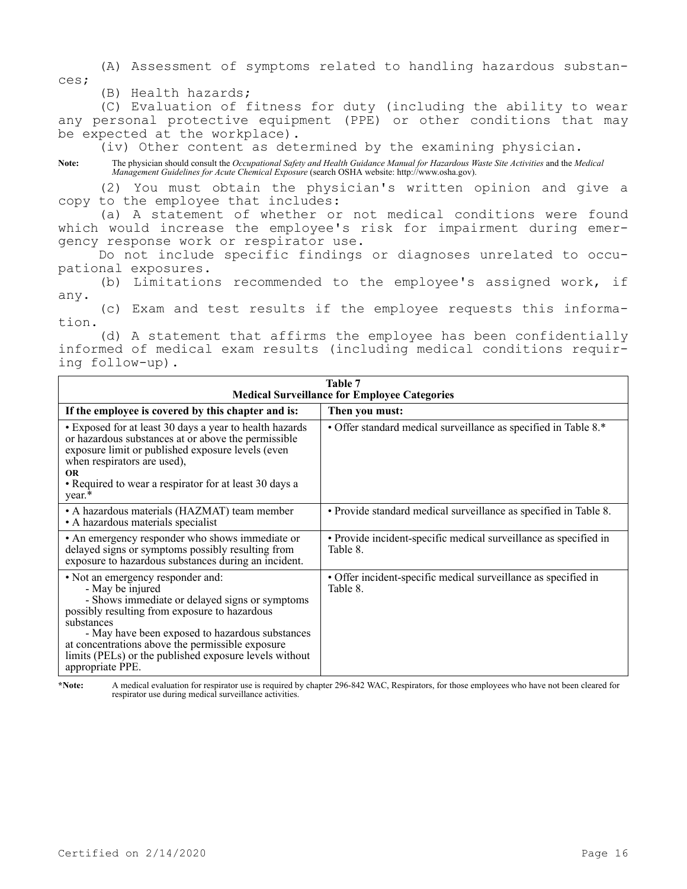(A) Assessment of symptoms related to handling hazardous substances;

(B) Health hazards;

(C) Evaluation of fitness for duty (including the ability to wear any personal protective equipment (PPE) or other conditions that may be expected at the workplace).

(iv) Other content as determined by the examining physician.

**Note:** The physician should consult the *Occupational Safety and Health Guidance Manual for Hazardous Waste Site Activities* and the *Medical Management Guidelines for Acute Chemical Exposure* (search OSHA website: http://www.osha.gov).

(2) You must obtain the physician's written opinion and give a copy to the employee that includes:

(a) A statement of whether or not medical conditions were found which would increase the employee's risk for impairment during emergency response work or respirator use.

Do not include specific findings or diagnoses unrelated to occupational exposures.

(b) Limitations recommended to the employee's assigned work, if any.

(c) Exam and test results if the employee requests this information.

(d) A statement that affirms the employee has been confidentially informed of medical exam results (including medical conditions requiring follow-up).

| Table 7<br><b>Medical Surveillance for Employee Categories</b>                                                                                                                                                                                                                                                                                              |                                                                              |  |
|-------------------------------------------------------------------------------------------------------------------------------------------------------------------------------------------------------------------------------------------------------------------------------------------------------------------------------------------------------------|------------------------------------------------------------------------------|--|
| If the employee is covered by this chapter and is:                                                                                                                                                                                                                                                                                                          | Then you must:                                                               |  |
| • Exposed for at least 30 days a year to health hazards<br>or hazardous substances at or above the permissible<br>exposure limit or published exposure levels (even<br>when respirators are used),<br><b>OR</b><br>• Required to wear a respirator for at least 30 days a<br>year.*                                                                         | • Offer standard medical surveillance as specified in Table 8.*              |  |
| • A hazardous materials (HAZMAT) team member<br>• A hazardous materials specialist                                                                                                                                                                                                                                                                          | • Provide standard medical surveillance as specified in Table 8.             |  |
| • An emergency responder who shows immediate or<br>delayed signs or symptoms possibly resulting from<br>exposure to hazardous substances during an incident.                                                                                                                                                                                                | • Provide incident-specific medical surveillance as specified in<br>Table 8. |  |
| • Not an emergency responder and:<br>- May be injured<br>- Shows immediate or delayed signs or symptoms<br>possibly resulting from exposure to hazardous<br>substances<br>- May have been exposed to hazardous substances<br>at concentrations above the permissible exposure<br>limits (PELs) or the published exposure levels without<br>appropriate PPE. | • Offer incident-specific medical surveillance as specified in<br>Table 8.   |  |

**\*Note:** A medical evaluation for respirator use is required by chapter 296-842 WAC, Respirators, for those employees who have not been cleared for respirator use during medical surveillance activities.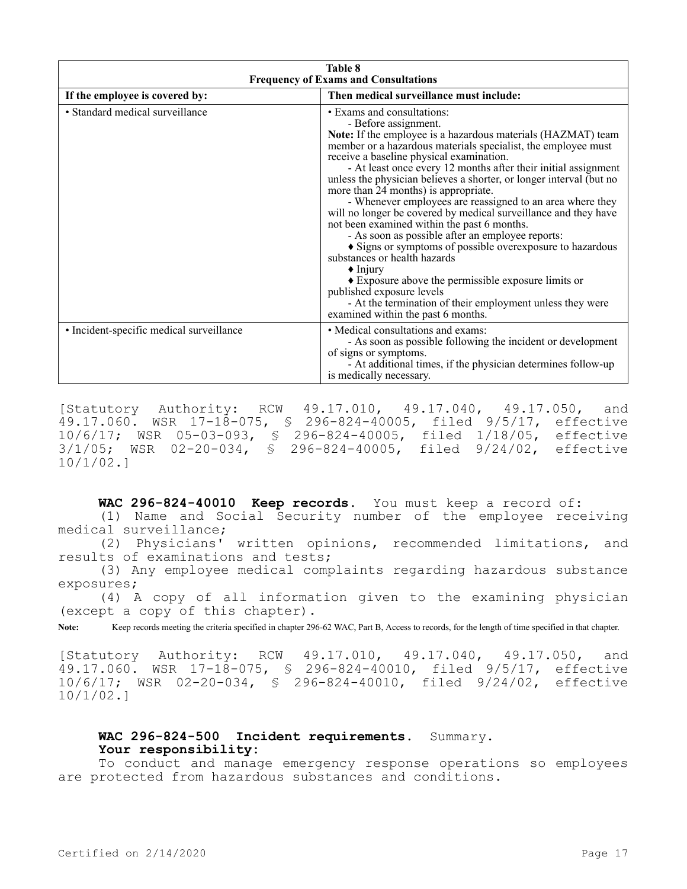| <b>Table 8</b><br><b>Frequency of Exams and Consultations</b> |                                                                                                                                                                                                                                                                                                                                                                                                                                                                                                                                                                                                                                                                                                                                                                                                                                                                                                                                                             |  |
|---------------------------------------------------------------|-------------------------------------------------------------------------------------------------------------------------------------------------------------------------------------------------------------------------------------------------------------------------------------------------------------------------------------------------------------------------------------------------------------------------------------------------------------------------------------------------------------------------------------------------------------------------------------------------------------------------------------------------------------------------------------------------------------------------------------------------------------------------------------------------------------------------------------------------------------------------------------------------------------------------------------------------------------|--|
| If the employee is covered by:                                | Then medical surveillance must include:                                                                                                                                                                                                                                                                                                                                                                                                                                                                                                                                                                                                                                                                                                                                                                                                                                                                                                                     |  |
| · Standard medical surveillance                               | • Exams and consultations:<br>- Before assignment.<br>Note: If the employee is a hazardous materials (HAZMAT) team<br>member or a hazardous materials specialist, the employee must<br>receive a baseline physical examination.<br>- At least once every 12 months after their initial assignment<br>unless the physician believes a shorter, or longer interval (but no<br>more than 24 months) is appropriate.<br>- Whenever employees are reassigned to an area where they<br>will no longer be covered by medical surveillance and they have<br>not been examined within the past 6 months.<br>- As soon as possible after an employee reports:<br>Signs or symptoms of possible overexposure to hazardous<br>substances or health hazards<br>$\triangle$ Injury<br>• Exposure above the permissible exposure limits or<br>published exposure levels<br>- At the termination of their employment unless they were<br>examined within the past 6 months. |  |
| • Incident-specific medical surveillance                      | • Medical consultations and exams:<br>- As soon as possible following the incident or development<br>of signs or symptoms.<br>- At additional times, if the physician determines follow-up<br>is medically necessary.                                                                                                                                                                                                                                                                                                                                                                                                                                                                                                                                                                                                                                                                                                                                       |  |

[Statutory Authority: RCW 49.17.010, 49.17.040, 49.17.050, and 49.17.060. WSR 17-18-075, § 296-824-40005, filed 9/5/17, effective 10/6/17; WSR 05-03-093, § 296-824-40005, filed 1/18/05, effective 3/1/05; WSR 02-20-034, § 296-824-40005, filed 9/24/02, effective 10/1/02.]

**WAC 296-824-40010 Keep records.** You must keep a record of: (1) Name and Social Security number of the employee receiving medical surveillance;

(2) Physicians' written opinions, recommended limitations, and results of examinations and tests;

(3) Any employee medical complaints regarding hazardous substance exposures;

(4) A copy of all information given to the examining physician (except a copy of this chapter).

**Note:** Keep records meeting the criteria specified in chapter 296-62 WAC, Part B, Access to records, for the length of time specified in that chapter.

[Statutory Authority: RCW 49.17.010, 49.17.040, 49.17.050, and  $49.17.060$ . WSR  $17-18-075$ , § 296-824-40010, filed 9/5/17, effective 10/6/17; WSR 02-20-034, § 296-824-40010, filed 9/24/02, effective 10/1/02.]

# WAC 296-824-500 Incident requirements. Summary. **Your responsibility:**

To conduct and manage emergency response operations so employees are protected from hazardous substances and conditions.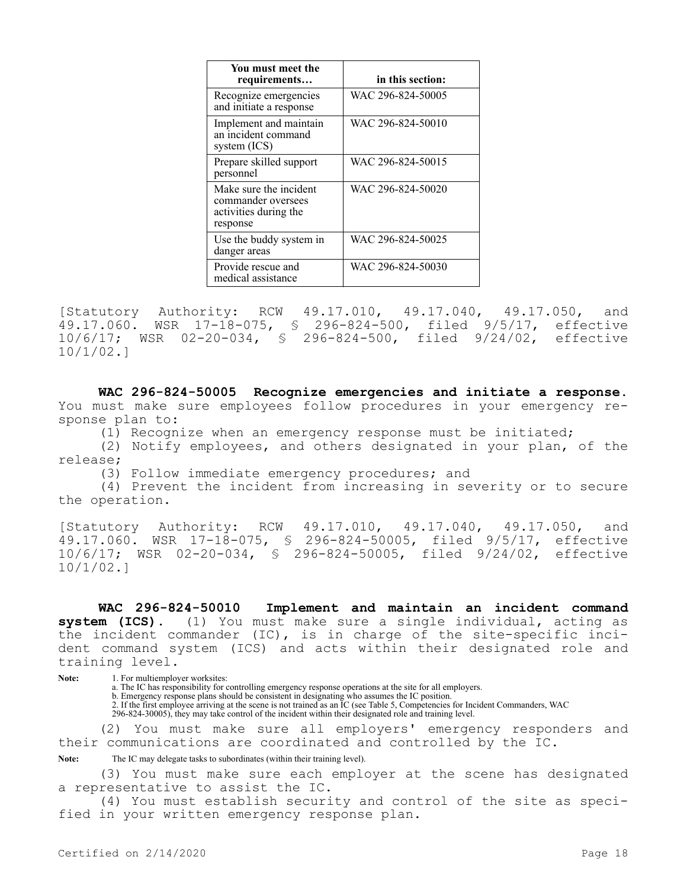| You must meet the<br>requirements                                                 | in this section:  |
|-----------------------------------------------------------------------------------|-------------------|
| Recognize emergencies<br>and initiate a response                                  | WAC 296-824-50005 |
| Implement and maintain<br>an incident command<br>system $(ICS)$                   | WAC 296-824-50010 |
| Prepare skilled support<br>personnel                                              | WAC 296-824-50015 |
| Make sure the incident<br>commander oversees<br>activities during the<br>response | WAC 296-824-50020 |
| Use the buddy system in<br>danger areas                                           | WAC 296-824-50025 |
| Provide rescue and<br>medical assistance                                          | WAC 296-824-50030 |

[Statutory Authority: RCW 49.17.010, 49.17.040, 49.17.050, and 49.17.060. WSR 17-18-075, § 296-824-500, filed 9/5/17, effective 10/6/17; WSR 02-20-034, § 296-824-500, filed 9/24/02, effective 10/1/02.]

**WAC 296-824-50005 Recognize emergencies and initiate a response.**  You must make sure employees follow procedures in your emergency response plan to:

(1) Recognize when an emergency response must be initiated;

(2) Notify employees, and others designated in your plan, of the release;

(3) Follow immediate emergency procedures; and

(4) Prevent the incident from increasing in severity or to secure the operation.

[Statutory Authority: RCW 49.17.010, 49.17.040, 49.17.050, and 49.17.060. WSR 17-18-075, § 296-824-50005, filed 9/5/17, effective 10/6/17; WSR 02-20-034, § 296-824-50005, filed 9/24/02, effective 10/1/02.]

**WAC 296-824-50010 Implement and maintain an incident command system (ICS).** (1) You must make sure a single individual, acting as the incident commander (IC), is in charge of the site-specific incident command system (ICS) and acts within their designated role and training level.

Note: 1. For multiemployer worksites:

a. The IC has responsibility for controlling emergency response operations at the site for all employers.

b. Emergency response plans should be consistent in designating who assumes the IC position.

2. If the first employee arriving at the scene is not trained as an IC (see Table 5, Competencies for Incident Commanders, WAC 296-824-30005), they may take control of the incident within their designated role and training level.

(2) You must make sure all employers' emergency responders and their communications are coordinated and controlled by the IC.

Note: The IC may delegate tasks to subordinates (within their training level).

(3) You must make sure each employer at the scene has designated a representative to assist the IC.

(4) You must establish security and control of the site as specified in your written emergency response plan.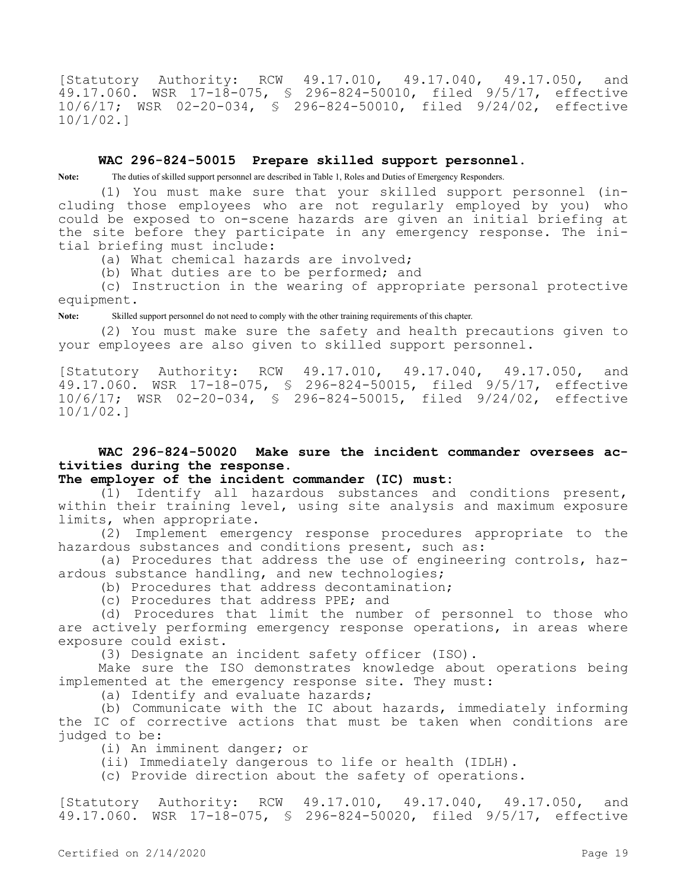[Statutory Authority: RCW 49.17.010, 49.17.040, 49.17.050, and 49.17.060. WSR 17-18-075, § 296-824-50010, filed 9/5/17, effective 10/6/17; WSR 02-20-034, § 296-824-50010, filed 9/24/02, effective 10/1/02.]

## **WAC 296-824-50015 Prepare skilled support personnel.**

**Note:** The duties of skilled support personnel are described in Table 1, Roles and Duties of Emergency Responders.

(1) You must make sure that your skilled support personnel (including those employees who are not regularly employed by you) who could be exposed to on-scene hazards are given an initial briefing at the site before they participate in any emergency response. The initial briefing must include:

(a) What chemical hazards are involved;

(b) What duties are to be performed; and

(c) Instruction in the wearing of appropriate personal protective equipment.

**Note:** Skilled support personnel do not need to comply with the other training requirements of this chapter.

(2) You must make sure the safety and health precautions given to your employees are also given to skilled support personnel.

[Statutory Authority: RCW 49.17.010, 49.17.040, 49.17.050, and 49.17.060. WSR 17-18-075, § 296-824-50015, filed 9/5/17, effective 10/6/17; WSR 02-20-034, § 296-824-50015, filed 9/24/02, effective 10/1/02.]

**WAC 296-824-50020 Make sure the incident commander oversees activities during the response.**

## **The employer of the incident commander (IC) must:**

(1) Identify all hazardous substances and conditions present, within their training level, using site analysis and maximum exposure limits, when appropriate.

(2) Implement emergency response procedures appropriate to the hazardous substances and conditions present, such as:

(a) Procedures that address the use of engineering controls, hazardous substance handling, and new technologies;

(b) Procedures that address decontamination;

(c) Procedures that address PPE; and

(d) Procedures that limit the number of personnel to those who are actively performing emergency response operations, in areas where exposure could exist.

(3) Designate an incident safety officer (ISO).

Make sure the ISO demonstrates knowledge about operations being implemented at the emergency response site. They must:

(a) Identify and evaluate hazards;

(b) Communicate with the IC about hazards, immediately informing the IC of corrective actions that must be taken when conditions are judged to be:

(i) An imminent danger; or

(ii) Immediately dangerous to life or health (IDLH).

(c) Provide direction about the safety of operations.

[Statutory Authority: RCW 49.17.010, 49.17.040, 49.17.050, and 49.17.060. WSR 17-18-075, § 296-824-50020, filed 9/5/17, effective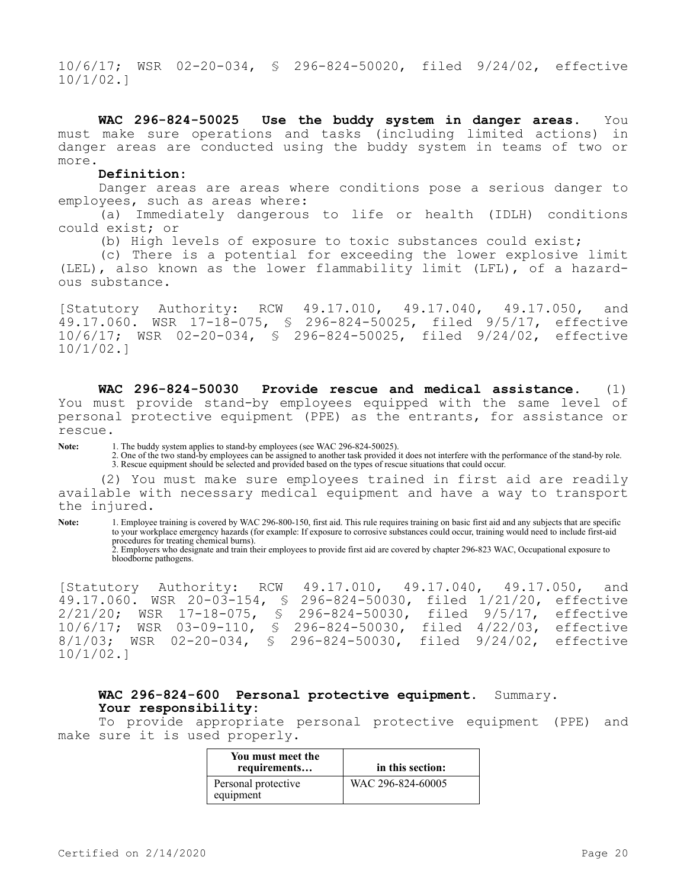10/6/17; WSR 02-20-034, § 296-824-50020, filed 9/24/02, effective 10/1/02.]

**WAC 296-824-50025 Use the buddy system in danger areas.** You must make sure operations and tasks (including limited actions) in danger areas are conducted using the buddy system in teams of two or more.

#### **Definition:**

Danger areas are areas where conditions pose a serious danger to employees, such as areas where:

(a) Immediately dangerous to life or health (IDLH) conditions could exist; or

(b) High levels of exposure to toxic substances could exist;

(c) There is a potential for exceeding the lower explosive limit (LEL), also known as the lower flammability limit (LFL), of a hazardous substance.

[Statutory Authority: RCW 49.17.010, 49.17.040, 49.17.050, and 49.17.060. WSR 17-18-075, § 296-824-50025, filed 9/5/17, effective 10/6/17; WSR 02-20-034, § 296-824-50025, filed 9/24/02, effective 10/1/02.]

**WAC 296-824-50030 Provide rescue and medical assistance.** (1) You must provide stand-by employees equipped with the same level of personal protective equipment (PPE) as the entrants, for assistance or rescue.

**Note:** 1. The buddy system applies to stand-by employees (see WAC 296-824-50025).

2. One of the two stand-by employees can be assigned to another task provided it does not interfere with the performance of the stand-by role. 3. Rescue equipment should be selected and provided based on the types of rescue situations that could occur.

(2) You must make sure employees trained in first aid are readily available with necessary medical equipment and have a way to transport the injured.

**Note:** 1. Employee training is covered by WAC 296-800-150, first aid. This rule requires training on basic first aid and any subjects that are specific to your workplace emergency hazards (for example: If exposure to corrosive substances could occur, training would need to include first-aid procedures for treating chemical burns).

2. Employers who designate and train their employees to provide first aid are covered by chapter 296-823 WAC, Occupational exposure to bloodborne pathogens.

[Statutory Authority: RCW 49.17.010, 49.17.040, 49.17.050, and 49.17.060. WSR 20-03-154, § 296-824-50030, filed 1/21/20, effective 2/21/20; WSR 17-18-075, § 296-824-50030, filed 9/5/17, effective<br>10/6/17; WSR 03-09-110, § 296-824-50030, filed 4/22/03, effective 10/6/17; WSR 03-09-110, § 296-824-50030, filed 4/22/03,<br>8/1/03; WSR 02-20-034, § 296-824-50030, filed 9/24/02, § 296-824-50030, filed 9/24/02, effective 10/1/02.]

## **WAC 296-824-600 Personal protective equipment.** Summary. **Your responsibility:**

To provide appropriate personal protective equipment (PPE) and make sure it is used properly.

| You must meet the<br>requirements | in this section:  |
|-----------------------------------|-------------------|
| Personal protective<br>equipment  | WAC 296-824-60005 |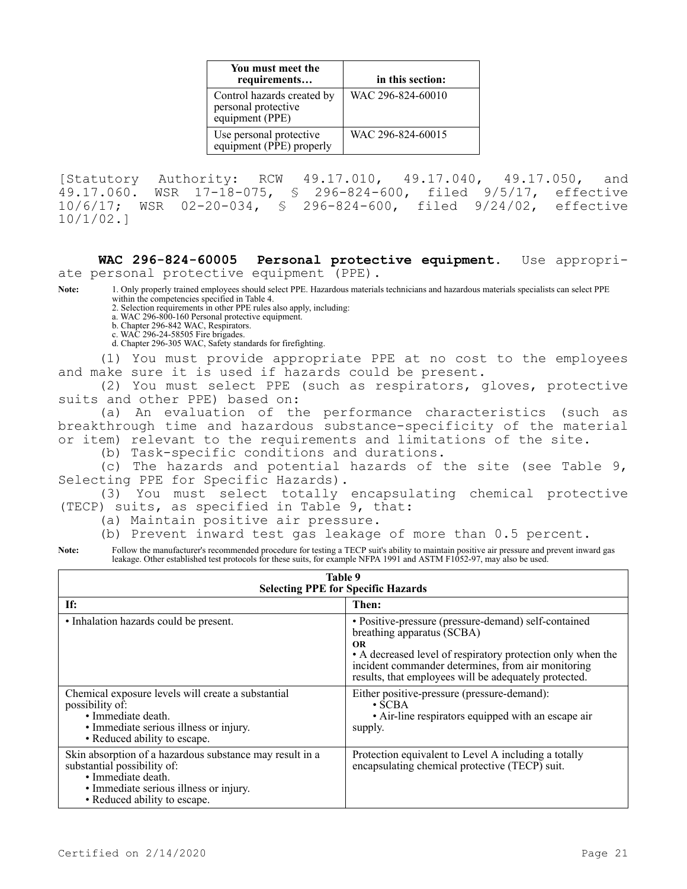| You must meet the<br>requirements                                    | in this section:  |
|----------------------------------------------------------------------|-------------------|
| Control hazards created by<br>personal protective<br>equipment (PPE) | WAC 296-824-60010 |
| Use personal protective<br>equipment (PPE) properly                  | WAC 296-824-60015 |

[Statutory Authority: RCW 49.17.010, 49.17.040, 49.17.050, and 49.17.060. WSR 17-18-075, § 296-824-600, filed 9/5/17, effective 10/6/17; WSR 02-20-034, § 296-824-600, filed 9/24/02, effective 10/1/02.]

**WAC 296-824-60005 Personal protective equipment.** Use appropriate personal protective equipment (PPE).

**Note:** 1. Only properly trained employees should select PPE. Hazardous materials technicians and hazardous materials specialists can select PPE within the competencies specified in Table 4.

2. Selection requirements in other PPE rules also apply, including:

a. WAC 296-800-160 Personal protective equipment.

b. Chapter 296-842 WAC, Respirators.

c. WAC 296-24-58505 Fire brigades.

d. Chapter 296-305 WAC, Safety standards for firefighting.

(1) You must provide appropriate PPE at no cost to the employees and make sure it is used if hazards could be present.

(2) You must select PPE (such as respirators, gloves, protective suits and other PPE) based on:

(a) An evaluation of the performance characteristics (such as breakthrough time and hazardous substance-specificity of the material or item) relevant to the requirements and limitations of the site.

(b) Task-specific conditions and durations.

(c) The hazards and potential hazards of the site (see Table 9, Selecting PPE for Specific Hazards).

(3) You must select totally encapsulating chemical protective (TECP) suits, as specified in Table 9, that:

- (a) Maintain positive air pressure.
- (b) Prevent inward test gas leakage of more than 0.5 percent.

Note: Follow the manufacturer's recommended procedure for testing a TECP suit's ability to maintain positive air pressure and prevent inward gas leakage. Other established test protocols for these suits, for example NFPA 1991 and ASTM F1052-97, may also be used.

| Table 9<br><b>Selecting PPE for Specific Hazards</b>                                                                                                                                    |                                                                                                                                                                                                                                                                               |  |
|-----------------------------------------------------------------------------------------------------------------------------------------------------------------------------------------|-------------------------------------------------------------------------------------------------------------------------------------------------------------------------------------------------------------------------------------------------------------------------------|--|
| If:                                                                                                                                                                                     | Then:                                                                                                                                                                                                                                                                         |  |
| • Inhalation hazards could be present.                                                                                                                                                  | • Positive-pressure (pressure-demand) self-contained<br>breathing apparatus (SCBA)<br><b>OR</b><br>• A decreased level of respiratory protection only when the<br>incident commander determines, from air monitoring<br>results, that employees will be adequately protected. |  |
| Chemical exposure levels will create a substantial<br>possibility of:<br>• Immediate death.<br>• Immediate serious illness or injury.<br>• Reduced ability to escape.                   | Either positive-pressure (pressure-demand):<br>$\cdot$ SCBA<br>• Air-line respirators equipped with an escape air<br>supply.                                                                                                                                                  |  |
| Skin absorption of a hazardous substance may result in a<br>substantial possibility of:<br>· Immediate death.<br>• Immediate serious illness or injury.<br>• Reduced ability to escape. | Protection equivalent to Level A including a totally<br>encapsulating chemical protective (TECP) suit.                                                                                                                                                                        |  |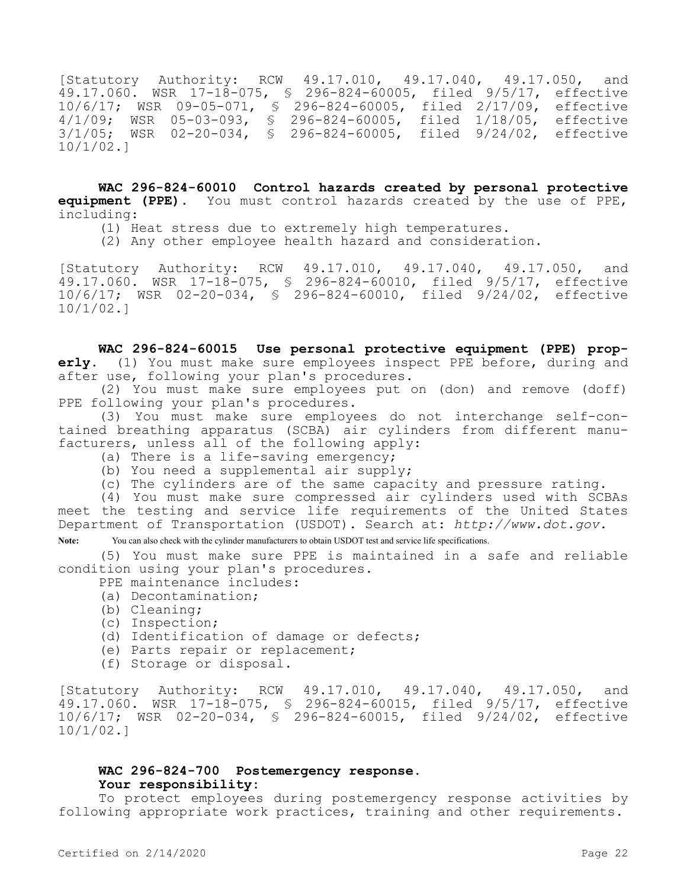[Statutory Authority: RCW 49.17.010, 49.17.040, 49.17.050, and 49.17.060. WSR 17-18-075, § 296-824-60005, filed 9/5/17, effective 10/6/17; WSR 09-05-071, § 296-824-60005, filed 2/17/09, effective 4/1/09; WSR 05-03-093, § 296-824-60005, filed 1/18/05, effective 3/1/05; WSR 02-20-034, § 296-824-60005, filed 9/24/02, effective 10/1/02.]

**WAC 296-824-60010 Control hazards created by personal protective equipment (PPE).** You must control hazards created by the use of PPE, including:

- (1) Heat stress due to extremely high temperatures.
- (2) Any other employee health hazard and consideration.

[Statutory Authority: RCW 49.17.010, 49.17.040, 49.17.050, and 49.17.060. WSR 17-18-075, § 296-824-60010, filed 9/5/17, effective 10/6/17; WSR 02-20-034, § 296-824-60010, filed 9/24/02, effective 10/1/02.]

**WAC 296-824-60015 Use personal protective equipment (PPE) properly.** (1) You must make sure employees inspect PPE before, during and after use, following your plan's procedures.

(2) You must make sure employees put on (don) and remove (doff) PPE following your plan's procedures.

(3) You must make sure employees do not interchange self-contained breathing apparatus (SCBA) air cylinders from different manufacturers, unless all of the following apply:

- (a) There is a life-saving emergency;
- (b) You need a supplemental air supply;
- (c) The cylinders are of the same capacity and pressure rating.

(4) You must make sure compressed air cylinders used with SCBAs meet the testing and service life requirements of the United States Department of Transportation (USDOT). Search at: *http://www.dot.gov.*

Note: You can also check with the cylinder manufacturers to obtain USDOT test and service life specifications.

(5) You must make sure PPE is maintained in a safe and reliable condition using your plan's procedures.

- PPE maintenance includes:
- (a) Decontamination;
- (b) Cleaning;
- (c) Inspection;
- (d) Identification of damage or defects;
- (e) Parts repair or replacement;
- (f) Storage or disposal.

[Statutory Authority: RCW 49.17.010, 49.17.040, 49.17.050, and 49.17.060. WSR 17-18-075, § 296-824-60015, filed 9/5/17, effective 10/6/17; WSR 02-20-034, § 296-824-60015, filed 9/24/02, effective 10/1/02.]

## **WAC 296-824-700 Postemergency response. Your responsibility:**

To protect employees during postemergency response activities by following appropriate work practices, training and other requirements.